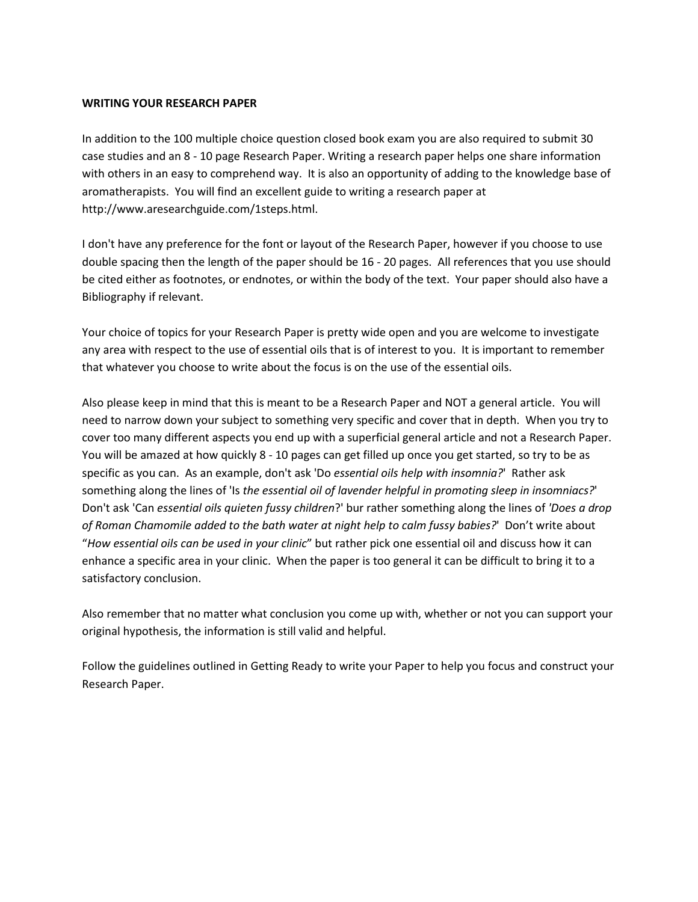#### **WRITING YOUR RESEARCH PAPER**

In addition to the 100 multiple choice question closed book exam you are also required to submit 30 case studies and an 8 - 10 page Research Paper. Writing a research paper helps one share information with others in an easy to comprehend way. It is also an opportunity of adding to the knowledge base of aromatherapists. You will find an excellent guide to writing a research paper at http://www.aresearchguide.com/1steps.html.

I don't have any preference for the font or layout of the Research Paper, however if you choose to use double spacing then the length of the paper should be 16 - 20 pages. All references that you use should be cited either as footnotes, or endnotes, or within the body of the text. Your paper should also have a Bibliography if relevant.

Your choice of topics for your Research Paper is pretty wide open and you are welcome to investigate any area with respect to the use of essential oils that is of interest to you. It is important to remember that whatever you choose to write about the focus is on the use of the essential oils.

Also please keep in mind that this is meant to be a Research Paper and NOT a general article. You will need to narrow down your subject to something very specific and cover that in depth. When you try to cover too many different aspects you end up with a superficial general article and not a Research Paper. You will be amazed at how quickly 8 - 10 pages can get filled up once you get started, so try to be as specific as you can. As an example, don't ask 'Do *essential oils help with insomnia?*' Rather ask something along the lines of 'Is the essential oil of lavender helpful in promoting sleep in insomniacs?' Don't ask 'Can *essential oils quieten fussy hhildren*?' bur rather something along the lines of *'Does a drop*  of Roman Chamomile added to the bath water at night help to calm fussy babies?' Don't write about "How essential oils can be used in your clinic" but rather pick one essential oil and discuss how it can enhance a specific area in your clinic. When the paper is too general it can be difficult to bring it to a satisfactory conclusion.

Also remember that no matter what conclusion you come up with, whether or not you can support your original hypothesis, the information is still valid and helpful.

Follow the guidelines outlined in Getting Ready to write your Paper to help you focus and construct your Research Paper.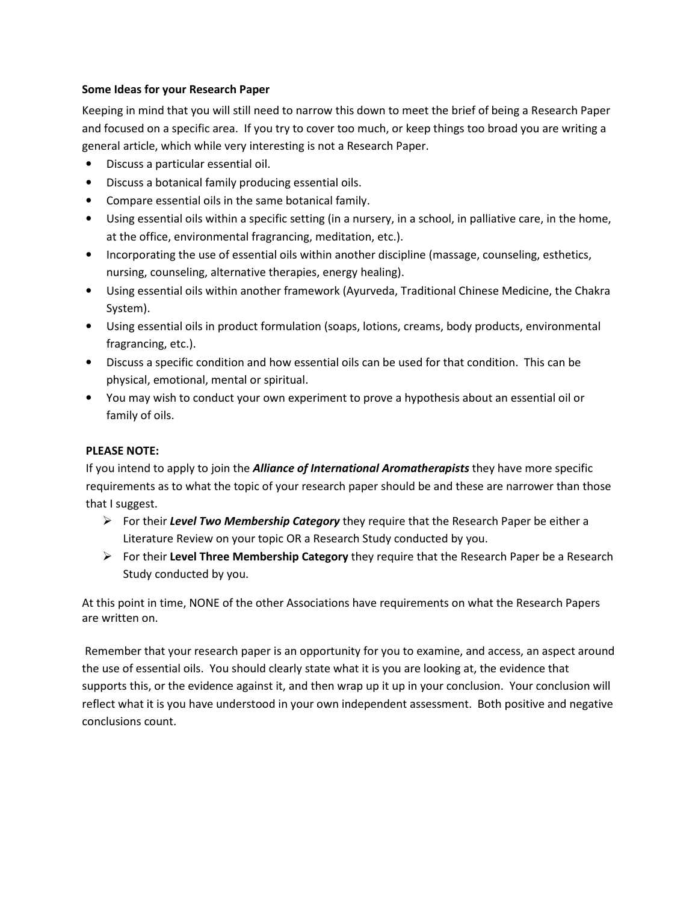## **Some Ideas for your Research Paper**

Keeping in mind that you will still need to narrow this down to meet the brief of being a Research Paper and focused on a specific area. If you try to cover too much, or keep things too broad you are writing a general article, which while very interesting is not a Research Paper.

- Discuss a particular essential oil.
- Discuss a botanical family producing essential oils.
- Compare essential oils in the same botanical family.
- Using essential oils within a specific setting (in a nursery, in a school, in palliative care, in the home, at the office, environmental fragrancing, meditation, etc.).
- Incorporating the use of essential oils within another discipline (massage, counseling, esthetics, nursing, counseling, alternative therapies, energy healing).
- Using essential oils within another framework (Ayurveda, Traditional Chinese Medicine, the Chakra System).
- Using essential oils in product formulation (soaps, lotions, creams, body products, environmental fragrancing, etc.).
- Discuss a specific condition and how essential oils can be used for that condition. This can be physical, emotional, mental or spiritual.
- You may wish to conduct your own experiment to prove a hypothesis about an essential oil or family of oils.

# **PLEASE NOTE:**

If you intend to apply to join the *Alliance of International Aromatherapists* they have more specific requirements as to what the topic of your research paper should be and these are narrower than those that I suggest.

- For their *Level Two Membership Category* they require that the Research Paper be either a Literature Review on your topic OR a Research Study conducted by you.
- For their **Level Three Membership Category** they require that the Research Paper be a Research Study conducted by you.

At this point in time, NONE of the other Associations have requirements on what the Research Papers are written on.

 Remember that your research paper is an opportunity for you to examine, and access, an aspect around the use of essential oils. You should clearly state what it is you are looking at, the evidence that supports this, or the evidence against it, and then wrap up it up in your conclusion. Your conclusion will reflect what it is you have understood in your own independent assessment. Both positive and negative conclusions count.